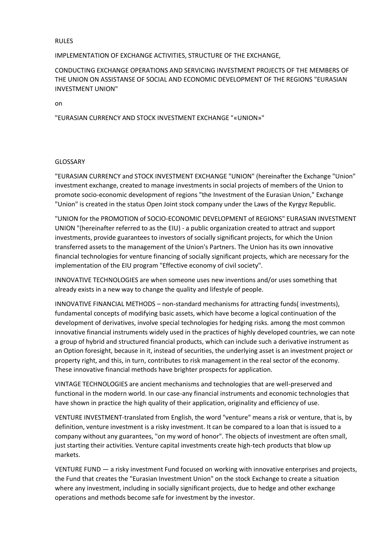#### RULES

### IMPLEMENTATION OF EXCHANGE ACTIVITIES, STRUCTURE OF THE EXCHANGE,

CONDUCTING EXCHANGE OPERATIONS AND SERVICING INVESTMENT PROJECTS OF THE MEMBERS OF THE UNION ON ASSISTANSE OF SOCIAL AND ECONOMIC DEVELOPMENT OF THE REGIONS "EURASIAN INVESTMENT UNION"

on

"EURASIAN CURRENCY AND STOCK INVESTMENT EXCHANGE "«UNION»"

### GLOSSARY

"EURASIAN CURRENCY and STOCK INVESTMENT EXCHANGE "UNION" (hereinafter the Exchange "Union" investment exchange, created to manage investments in social projects of members of the Union to promote socio-economic development of regions "the Investment of the Eurasian Union," Exchange "Union" is created in the status Open Joint stock company under the Laws of the Kyrgyz Republic.

"UNION for the PROMOTION of SOCIO-ECONOMIC DEVELOPMENT of REGIONS" EURASIAN INVESTMENT UNION "(hereinafter referred to as the EIU) - a public organization created to attract and support investments, provide guarantees to investors of socially significant projects, for which the Union transferred assets to the management of the Union's Partners. The Union has its own innovative financial technologies for venture financing of socially significant projects, which are necessary for the implementation of the EIU program "Effective economy of civil society".

INNOVATIVE TECHNOLOGIES are when someone uses new inventions and/or uses something that already exists in a new way to change the quality and lifestyle of people.

INNOVATIVE FINANCIAL METHODS – non-standard mechanisms for attracting funds( investments), fundamental concepts of modifying basic assets, which have become a logical continuation of the development of derivatives, involve special technologies for hedging risks. among the most common innovative financial instruments widely used in the practices of highly developed countries, we can note a group of hybrid and structured financial products, which can include such a derivative instrument as an Option foresight, because in it, instead of securities, the underlying asset is an investment project or property right, and this, in turn, contributes to risk management in the real sector of the economy. These innovative financial methods have brighter prospects for application.

VINTAGE TECHNOLOGIES are ancient mechanisms and technologies that are well-preserved and functional in the modern world. In our case-any financial instruments and economic technologies that have shown in practice the high quality of their application, originality and efficiency of use.

VENTURE INVESTMENT-translated from English, the word "venture" means a risk or venture, that is, by definition, venture investment is a risky investment. It can be compared to a loan that is issued to a company without any guarantees, "on my word of honor". The objects of investment are often small, just starting their activities. Venture capital investments create high-tech products that blow up markets.

VENTURE FUND — a risky investment Fund focused on working with innovative enterprises and projects, the Fund that creates the "Eurasian Investment Union" on the stock Exchange to create a situation where any investment, including in socially significant projects, due to hedge and other exchange operations and methods become safe for investment by the investor.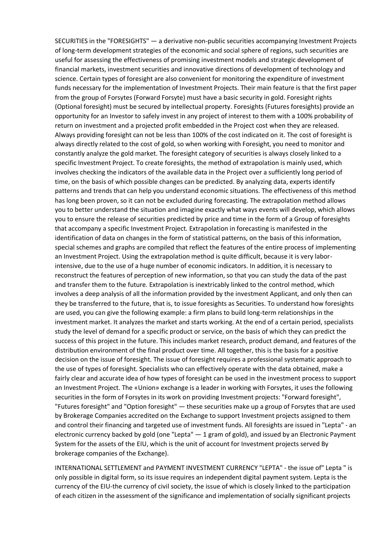SECURITIES in the "FORESIGHTS" — a derivative non-public securities accompanying Investment Projects of long-term development strategies of the economic and social sphere of regions, such securities are useful for assessing the effectiveness of promising investment models and strategic development of financial markets, investment securities and innovative directions of development of technology and science. Certain types of foresight are also convenient for monitoring the expenditure of investment funds necessary for the implementation of Investment Projects. Their main feature is that the first paper from the group of Forsytes (Forward Forsyte) must have a basic security in gold. Foresight rights (Optional foresight) must be secured by intellectual property. Foresights (Futures foresights) provide an opportunity for an Investor to safely invest in any project of interest to them with a 100% probability of return on investment and a projected profit embedded in the Project cost when they are released. Always providing foresight can not be less than 100% of the cost indicated on it. The cost of foresight is always directly related to the cost of gold, so when working with Foresight, you need to monitor and constantly analyze the gold market. The foresight category of securities is always closely linked to a specific Investment Project. To create foresights, the method of extrapolation is mainly used, which involves checking the indicators of the available data in the Project over a sufficiently long period of time, on the basis of which possible changes can be predicted. By analyzing data, experts identify patterns and trends that can help you understand economic situations. The effectiveness of this method has long been proven, so it can not be excluded during forecasting. The extrapolation method allows you to better understand the situation and imagine exactly what ways events will develop, which allows you to ensure the release of securities predicted by price and time in the form of a Group of foresights that accompany a specific Investment Project. Extrapolation in forecasting is manifested in the identification of data on changes in the form of statistical patterns, on the basis of this information, special schemes and graphs are compiled that reflect the features of the entire process of implementing an Investment Project. Using the extrapolation method is quite difficult, because it is very laborintensive, due to the use of a huge number of economic indicators. In addition, it is necessary to reconstruct the features of perception of new information, so that you can study the data of the past and transfer them to the future. Extrapolation is inextricably linked to the control method, which involves a deep analysis of all the information provided by the investment Applicant, and only then can they be transferred to the future, that is, to issue foresights as Securities. To understand how foresights are used, you can give the following example: a firm plans to build long-term relationships in the investment market. It analyzes the market and starts working. At the end of a certain period, specialists study the level of demand for a specific product or service, on the basis of which they can predict the success of this project in the future. This includes market research, product demand, and features of the distribution environment of the final product over time. All together, this is the basis for a positive decision on the issue of foresight. The issue of foresight requires a professional systematic approach to the use of types of foresight. Specialists who can effectively operate with the data obtained, make a fairly clear and accurate idea of how types of foresight can be used in the investment process to support an Investment Project. The «Union» exchange is a leader in working with Forsytes, it uses the following securities in the form of Forsytes in its work on providing Investment projects: "Forward foresight", "Futures foresight" and "Option foresight" — these securities make up a group of Forsytes that are used by Brokerage Companies accredited on the Exchange to support Investment projects assigned to them and control their financing and targeted use of investment funds. All foresights are issued in "Lepta" - an electronic currency backed by gold (one "Lepta" — 1 gram of gold), and issued by an Electronic Payment System for the assets of the EIU, which is the unit of account for Investment projects served By brokerage companies of the Exchange).

INTERNATIONAL SETTLEMENT and PAYMENT INVESTMENT CURRENCY "LEPTA" - the issue of" Lepta " is only possible in digital form, so its issue requires an independent digital payment system. Lepta is the currency of the EIU-the currency of civil society, the issue of which is closely linked to the participation of each citizen in the assessment of the significance and implementation of socially significant projects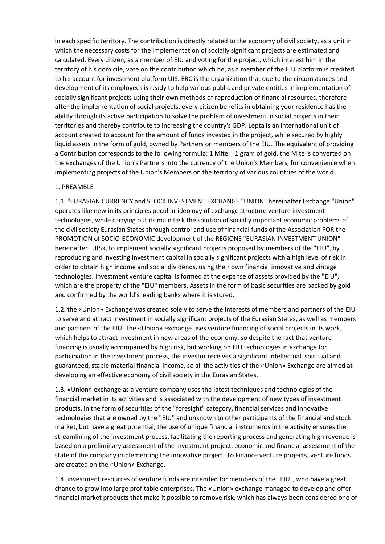in each specific territory. The contribution is directly related to the economy of civil society, as a unit in which the necessary costs for the implementation of socially significant projects are estimated and calculated. Every citizen, as a member of EIU and voting for the project, which interest him in the territory of his domicile, vote on the contribution which he, as a member of the EIU platform is credited to his account for investment platform UIS. ERC is the organization that due to the circumstances and development of its employees is ready to help various public and private entities in implementation of socially significant projects using their own methods of reproduction of financial resources, therefore after the implementation of social projects, every citizen benefits in obtaining your residence has the ability through its active participation to solve the problem of investment in social projects in their territories and thereby contribute to increasing the country's GDP. Lepta is an international unit of account created to account for the amount of funds invested in the project, while secured by highly liquid assets in the form of gold, owned by Partners or members of the EIU. The equivalent of providing a Contribution corresponds to the following formula: 1 Mite = 1 gram of gold, the Mite is converted on the exchanges of the Union's Partners into the currency of the Union's Members, for convenience when implementing projects of the Union's Members on the territory of various countries of the world.

## 1. PREAMBLE

1.1. "EURASIAN CURRENCY and STOCK INVESTMENT EXCHANGE "UNION" hereinafter Exchange "Union" operates like new in its principles peculiar ideology of exchange structure venture investment technologies, while carrying out its main task the solution of socially important economic problems of the civil society Eurasian States through control and use of financial funds of the Association FOR the PROMOTION of SOCIO-ECONOMIC development of the REGIONS "EURASIAN INVESTMENT UNION" hereinafter "UIS», to implement socially significant projects proposed by members of the "EIU", by reproducing and investing investment capital in socially significant projects with a high level of risk in order to obtain high income and social dividends, using their own financial innovative and vintage technologies. Investment venture capital is formed at the expense of assets provided by the "EIU", which are the property of the "EIU" members. Assets in the form of basic securities are backed by gold and confirmed by the world's leading banks where it is stored.

1.2. the «Union» Exchange was created solely to serve the interests of members and partners of the EIU to serve and attract investment in socially significant projects of the Eurasian States, as well as members and partners of the EIU. The «Union» exchange uses venture financing of social projects in its work, which helps to attract investment in new areas of the economy, so despite the fact that venture financing is usually accompanied by high risk, but working on EIU technologies in exchange for participation in the investment process, the investor receives a significant intellectual, spiritual and guaranteed, stable material financial income, so all the activities of the «Union» Exchange are aimed at developing an effective economy of civil society in the Eurasian States.

1.3. «Union» exchange as a venture company uses the latest techniques and technologies of the financial market in its activities and is associated with the development of new types of investment products, in the form of securities of the "foresight" category, financial services and innovative technologies that are owned by the "EIU" and unknown to other participants of the financial and stock market, but have a great potential, the use of unique financial instruments in the activity ensures the streamlining of the investment process, facilitating the reporting process and generating high revenue is based on a preliminary assessment of the investment project, economic and financial assessment of the state of the company implementing the innovative project. To Finance venture projects, venture funds are created on the «Union» Exchange.

1.4. investment resources of venture funds are intended for members of the "EIU", who have a great chance to grow into large profitable enterprises. The «Union» exchange managed to develop and offer financial market products that make it possible to remove risk, which has always been considered one of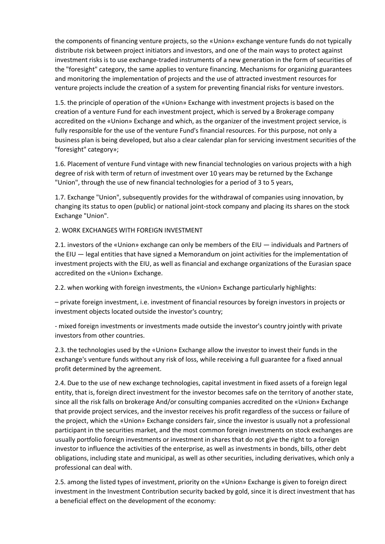the components of financing venture projects, so the «Union» exchange venture funds do not typically distribute risk between project initiators and investors, and one of the main ways to protect against investment risks is to use exchange-traded instruments of a new generation in the form of securities of the "foresight" category, the same applies to venture financing. Mechanisms for organizing guarantees and monitoring the implementation of projects and the use of attracted investment resources for venture projects include the creation of a system for preventing financial risks for venture investors.

1.5. the principle of operation of the «Union» Exchange with investment projects is based on the creation of a venture Fund for each investment project, which is served by a Brokerage company accredited on the «Union» Exchange and which, as the organizer of the investment project service, is fully responsible for the use of the venture Fund's financial resources. For this purpose, not only a business plan is being developed, but also a clear calendar plan for servicing investment securities of the "foresight" category»;

1.6. Placement of venture Fund vintage with new financial technologies on various projects with a high degree of risk with term of return of investment over 10 years may be returned by the Exchange "Union", through the use of new financial technologies for a period of 3 to 5 years,

1.7. Exchange "Union", subsequently provides for the withdrawal of companies using innovation, by changing its status to open (public) or national joint-stock company and placing its shares on the stock Exchange "Union".

2. WORK EXCHANGES WITH FOREIGN INVESTMENT

2.1. investors of the «Union» exchange can only be members of the EIU — individuals and Partners of the EIU — legal entities that have signed a Memorandum on joint activities for the implementation of investment projects with the EIU, as well as financial and exchange organizations of the Eurasian space accredited on the «Union» Exchange.

2.2. when working with foreign investments, the «Union» Exchange particularly highlights:

– private foreign investment, i.e. investment of financial resources by foreign investors in projects or investment objects located outside the investor's country;

- mixed foreign investments or investments made outside the investor's country jointly with private investors from other countries.

2.3. the technologies used by the «Union» Exchange allow the investor to invest their funds in the exchange's venture funds without any risk of loss, while receiving a full guarantee for a fixed annual profit determined by the agreement.

2.4. Due to the use of new exchange technologies, capital investment in fixed assets of a foreign legal entity, that is, foreign direct investment for the investor becomes safe on the territory of another state, since all the risk falls on brokerage And/or consulting companies accredited on the «Union» Exchange that provide project services, and the investor receives his profit regardless of the success or failure of the project, which the «Union» Exchange considers fair, since the investor is usually not a professional participant in the securities market, and the most common foreign investments on stock exchanges are usually portfolio foreign investments or investment in shares that do not give the right to a foreign investor to influence the activities of the enterprise, as well as investments in bonds, bills, other debt obligations, including state and municipal, as well as other securities, including derivatives, which only a professional can deal with.

2.5. among the listed types of investment, priority on the «Union» Exchange is given to foreign direct investment in the Investment Contribution security backed by gold, since it is direct investment that has a beneficial effect on the development of the economy: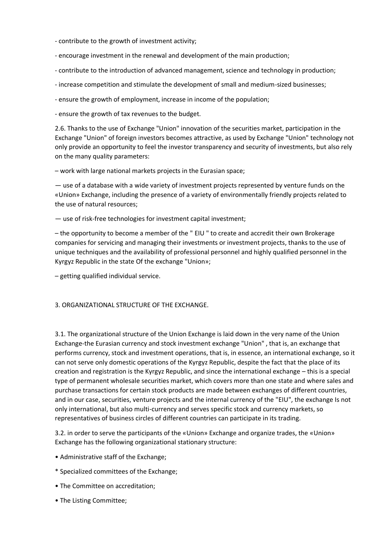- contribute to the growth of investment activity;
- encourage investment in the renewal and development of the main production;
- contribute to the introduction of advanced management, science and technology in production;
- increase competition and stimulate the development of small and medium-sized businesses;
- ensure the growth of employment, increase in income of the population;
- ensure the growth of tax revenues to the budget.

2.6. Thanks to the use of Exchange "Union" innovation of the securities market, participation in the Exchange "Union" of foreign investors becomes attractive, as used by Exchange "Union" technology not only provide an opportunity to feel the investor transparency and security of investments, but also rely on the many quality parameters:

– work with large national markets projects in the Eurasian space;

— use of a database with a wide variety of investment projects represented by venture funds on the «Union» Exchange, including the presence of a variety of environmentally friendly projects related to the use of natural resources;

— use of risk-free technologies for investment capital investment;

– the opportunity to become a member of the " EIU " to create and accredit their own Brokerage companies for servicing and managing their investments or investment projects, thanks to the use of unique techniques and the availability of professional personnel and highly qualified personnel in the Kyrgyz Republic in the state Of the exchange "Union»;

– getting qualified individual service.

# 3. ORGANIZATIONAL STRUCTURE OF THE EXCHANGE.

3.1. The organizational structure of the Union Exchange is laid down in the very name of the Union Exchange-the Eurasian currency and stock investment exchange "Union" , that is, an exchange that performs currency, stock and investment operations, that is, in essence, an international exchange, so it can not serve only domestic operations of the Kyrgyz Republic, despite the fact that the place of its creation and registration is the Kyrgyz Republic, and since the international exchange – this is a special type of permanent wholesale securities market, which covers more than one state and where sales and purchase transactions for certain stock products are made between exchanges of different countries, and in our case, securities, venture projects and the internal currency of the "EIU", the exchange Is not only international, but also multi-currency and serves specific stock and currency markets, so representatives of business circles of different countries can participate in its trading.

3.2. in order to serve the participants of the «Union» Exchange and organize trades, the «Union» Exchange has the following organizational stationary structure:

- Administrative staff of the Exchange;
- \* Specialized committees of the Exchange;
- The Committee on accreditation;
- The Listing Committee;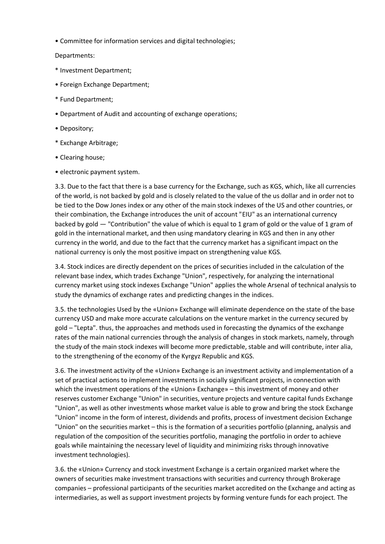• Committee for information services and digital technologies;

Departments:

- \* Investment Department;
- Foreign Exchange Department;
- \* Fund Department;
- Department of Audit and accounting of exchange operations;
- Depository;
- \* Exchange Arbitrage;
- Clearing house;
- electronic payment system.

3.3. Due to the fact that there is a base currency for the Exchange, such as KGS, which, like all currencies of the world, is not backed by gold and is closely related to the value of the us dollar and in order not to be tied to the Dow Jones index or any other of the main stock indexes of the US and other countries, or their combination, the Exchange introduces the unit of account "EIU" as an international currency backed by gold — "Contribution" the value of which is equal to 1 gram of gold or the value of 1 gram of gold in the international market, and then using mandatory clearing in KGS and then in any other currency in the world, and due to the fact that the currency market has a significant impact on the national currency is only the most positive impact on strengthening value KGS.

3.4. Stock indices are directly dependent on the prices of securities included in the calculation of the relevant base index, which trades Exchange "Union", respectively, for analyzing the international currency market using stock indexes Exchange "Union" applies the whole Arsenal of technical analysis to study the dynamics of exchange rates and predicting changes in the indices.

3.5. the technologies Used by the «Union» Exchange will eliminate dependence on the state of the base currency USD and make more accurate calculations on the venture market in the currency secured by gold – "Lepta". thus, the approaches and methods used in forecasting the dynamics of the exchange rates of the main national currencies through the analysis of changes in stock markets, namely, through the study of the main stock indexes will become more predictable, stable and will contribute, inter alia, to the strengthening of the economy of the Kyrgyz Republic and KGS.

3.6. The investment activity of the «Union» Exchange is an investment activity and implementation of a set of practical actions to implement investments in socially significant projects, in connection with which the investment operations of the «Union» Exchange» – this investment of money and other reserves customer Exchange "Union" in securities, venture projects and venture capital funds Exchange "Union", as well as other investments whose market value is able to grow and bring the stock Exchange "Union" income in the form of interest, dividends and profits, process of investment decision Exchange "Union" on the securities market – this is the formation of a securities portfolio (planning, analysis and regulation of the composition of the securities portfolio, managing the portfolio in order to achieve goals while maintaining the necessary level of liquidity and minimizing risks through innovative investment technologies).

3.6. the «Union» Currency and stock investment Exchange is a certain organized market where the owners of securities make investment transactions with securities and currency through Brokerage companies – professional participants of the securities market accredited on the Exchange and acting as intermediaries, as well as support investment projects by forming venture funds for each project. The